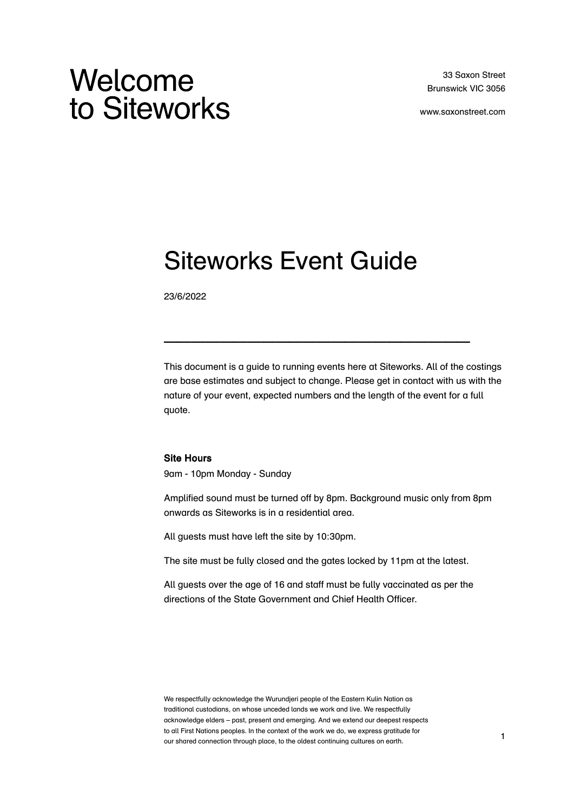# Welcome to Siteworks

www.saxonstreet.com

# Siteworks Event Guide

23/6/2022

This document is a guide to running events here at Siteworks. All of the costings are base estimates and subject to change. Please get in contact with us with the nature of your event, expected numbers and the length of the event for a full quote.

 $\mathcal{L}_\text{max}$  and  $\mathcal{L}_\text{max}$  are the set of  $\mathcal{L}_\text{max}$ 

#### Site Hours

9am - 10pm Monday - Sunday

Amplified sound must be turned off by 8pm. Background music only from 8pm onwards as Siteworks is in a residential area.

All guests must have left the site by 10:30pm.

The site must be fully closed and the gates locked by 11pm at the latest.

All guests over the age of 16 and staff must be fully vaccinated as per the directions of the State Government and Chief Health Officer.

We respectfully acknowledge the Wurundjeri people of the Eastern Kulin Nation as traditional custodians, on whose unceded lands we work and live. We respectfully acknowledge elders – past, present and emerging. And we extend our deepest respects to all First Nations peoples. In the context of the work we do, we express gratitude for our shared connection through place, to the oldest continuing cultures on earth.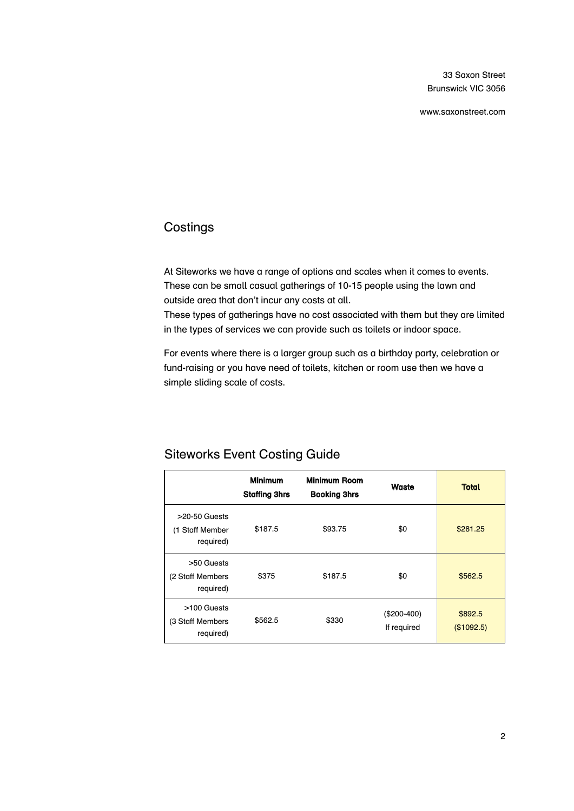33 Saxon Street Brunswick VIC 3056

www.saxonstreet.com

# **Costings**

At Siteworks we have a range of options and scales when it comes to events. These can be small casual gatherings of 10-15 people using the lawn and outside area that don't incur any costs at all.

These types of gatherings have no cost associated with them but they are limited in the types of services we can provide such as toilets or indoor space.

For events where there is a larger group such as a birthday party, celebration or fund-raising or you have need of toilets, kitchen or room use then we have a simple sliding scale of costs.

|                                                 | <b>Minimum</b><br><b>Staffing 3hrs</b> | <b>Minimum Room</b><br><b>Booking 3hrs</b> | Waste                       | <b>Total</b>          |
|-------------------------------------------------|----------------------------------------|--------------------------------------------|-----------------------------|-----------------------|
| $>20-50$ Guests<br>(1 Staff Member<br>required) | \$187.5                                | \$93.75                                    | \$0                         | \$281.25              |
| >50 Guests<br>(2 Staff Members<br>required)     | \$375                                  | \$187.5                                    | \$0                         | \$562.5               |
| >100 Guests<br>(3 Staff Members<br>required)    | \$562.5                                | \$330                                      | $($200-400)$<br>If required | \$892.5<br>(\$1092.5) |

# Siteworks Event Costing Guide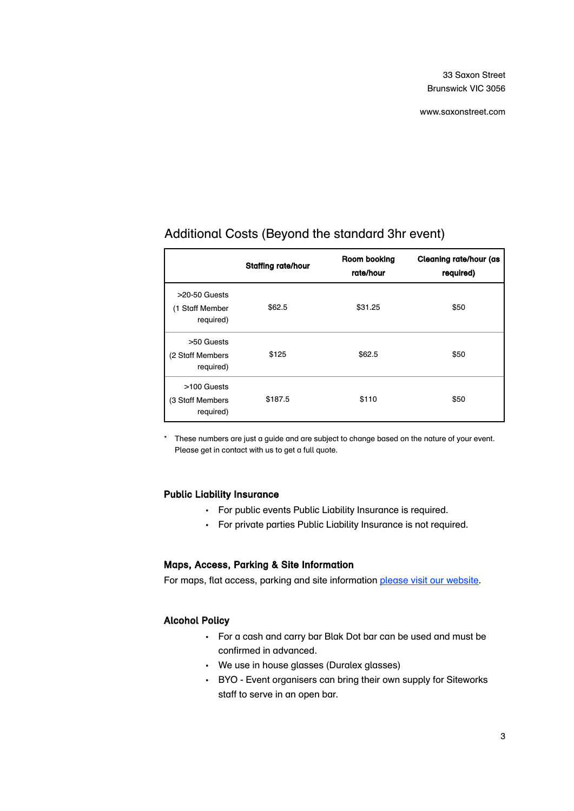www.saxonstreet.com

|                                                 | <b>Staffing rate/hour</b> | Room booking<br>rate/hour | Cleaning rate/hour (as<br>required) |
|-------------------------------------------------|---------------------------|---------------------------|-------------------------------------|
| $>20-50$ Guests<br>(1 Staff Member<br>required) | \$62.5                    | \$31.25                   | \$50                                |
| >50 Guests<br>(2 Staff Members<br>required)     | \$125                     | \$62.5                    | \$50                                |
| >100 Guests<br>(3 Staff Members<br>required)    | \$187.5                   | \$110                     | \$50                                |

# Additional Costs (Beyond the standard 3hr event)

\* These numbers are just a guide and are subject to change based on the nature of your event. Please get in contact with us to get a full quote.

#### Public Liability Insurance

- For public events Public Liability Insurance is required.
- For private parties Public Liability Insurance is not required.

## Maps, Access, Parking & Site Information

For maps, flat access, parking and site information [please visit our website.](http://www.saxonstreet.com/community-access/)

## Alcohol Policy

- For a cash and carry bar Blak Dot bar can be used and must be confirmed in advanced.
- We use in house glasses (Duralex glasses)
- BYO Event organisers can bring their own supply for Siteworks staff to serve in an open bar.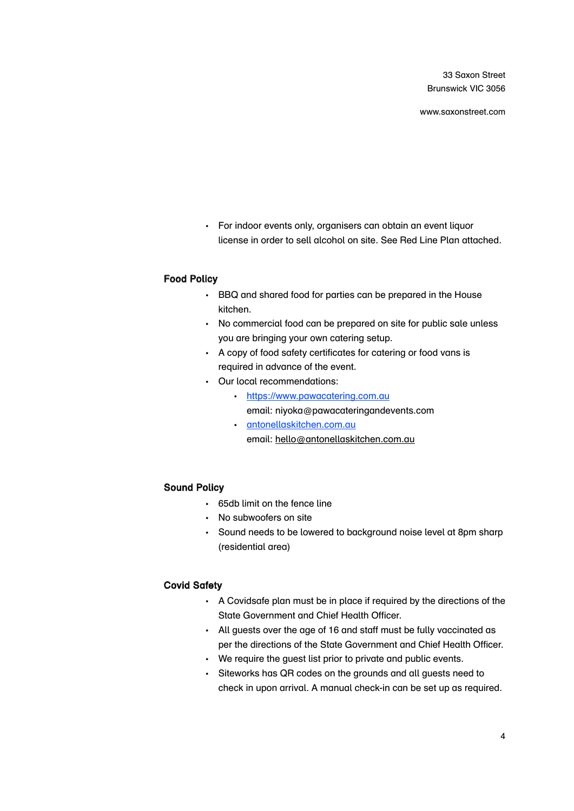33 Saxon Street Brunswick VIC 3056

www.saxonstreet.com

• For indoor events only, organisers can obtain an event liquor license in order to sell alcohol on site. See Red Line Plan attached.

#### Food Policy

- BBQ and shared food for parties can be prepared in the House kitchen.
- No commercial food can be prepared on site for public sale unless you are bringing your own catering setup.
- A copy of food safety certificates for catering or food vans is required in advance of the event.
- Our local recommendations:
	- <https://www.pawacatering.com.au> email: niyoka@pawacateringandevents.com
	- [antonellaskitchen.com.au](http://antonellaskitchen.com.au) email: [hello@antonellaskitchen.com.au](mailto:hello@antonellaskitchen.com.au)

## Sound Policy

- 65db limit on the fence line
- No subwoofers on site
- Sound needs to be lowered to background noise level at 8pm sharp (residential area)

### Covid Safety

- A Covidsafe plan must be in place if required by the directions of the State Government and Chief Health Officer.
- All guests over the age of 16 and staff must be fully vaccinated as per the directions of the State Government and Chief Health Officer.
- We require the guest list prior to private and public events.
- Siteworks has QR codes on the grounds and all guests need to check in upon arrival. A manual check-in can be set up as required.